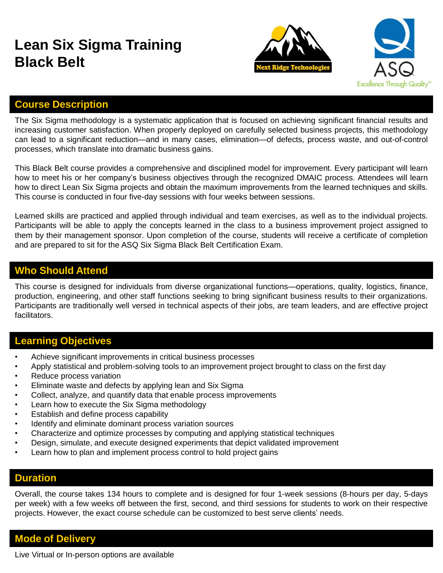# **Lean Six Sigma Training Black Belt**





## **Course Description**

The Six Sigma methodology is a systematic application that is focused on achieving significant financial results and increasing customer satisfaction. When properly deployed on carefully selected business projects, this methodology can lead to a significant reduction—and in many cases, elimination—of defects, process waste, and out-of-control processes, which translate into dramatic business gains.

This Black Belt course provides a comprehensive and disciplined model for improvement. Every participant will learn how to meet his or her company's business objectives through the recognized DMAIC process. Attendees will learn how to direct Lean Six Sigma projects and obtain the maximum improvements from the learned techniques and skills. This course is conducted in four five-day sessions with four weeks between sessions.

Learned skills are practiced and applied through individual and team exercises, as well as to the individual projects. Participants will be able to apply the concepts learned in the class to a business improvement project assigned to them by their management sponsor. Upon completion of the course, students will receive a certificate of completion and are prepared to sit for the ASQ Six Sigma Black Belt Certification Exam.

### **Who Should Attend**

This course is designed for individuals from diverse organizational functions—operations, quality, logistics, finance, production, engineering, and other staff functions seeking to bring significant business results to their organizations. Participants are traditionally well versed in technical aspects of their jobs, are team leaders, and are effective project facilitators.

## **Learning Objectives**

- Achieve significant improvements in critical business processes
- Apply statistical and problem-solving tools to an improvement project brought to class on the first day
- Reduce process variation
- Eliminate waste and defects by applying lean and Six Sigma
- Collect, analyze, and quantify data that enable process improvements
- Learn how to execute the Six Sigma methodology
- Establish and define process capability
- Identify and eliminate dominant process variation sources
- Characterize and optimize processes by computing and applying statistical techniques
- Design, simulate, and execute designed experiments that depict validated improvement
- Learn how to plan and implement process control to hold project gains

#### **Duration**

Overall, the course takes 134 hours to complete and is designed for four 1-week sessions (8-hours per day, 5-days per week) with a few weeks off between the first, second, and third sessions for students to work on their respective projects. However, the exact course schedule can be customized to best serve clients' needs.

#### **Mode of Delivery**

Live Virtual or In-person options are available